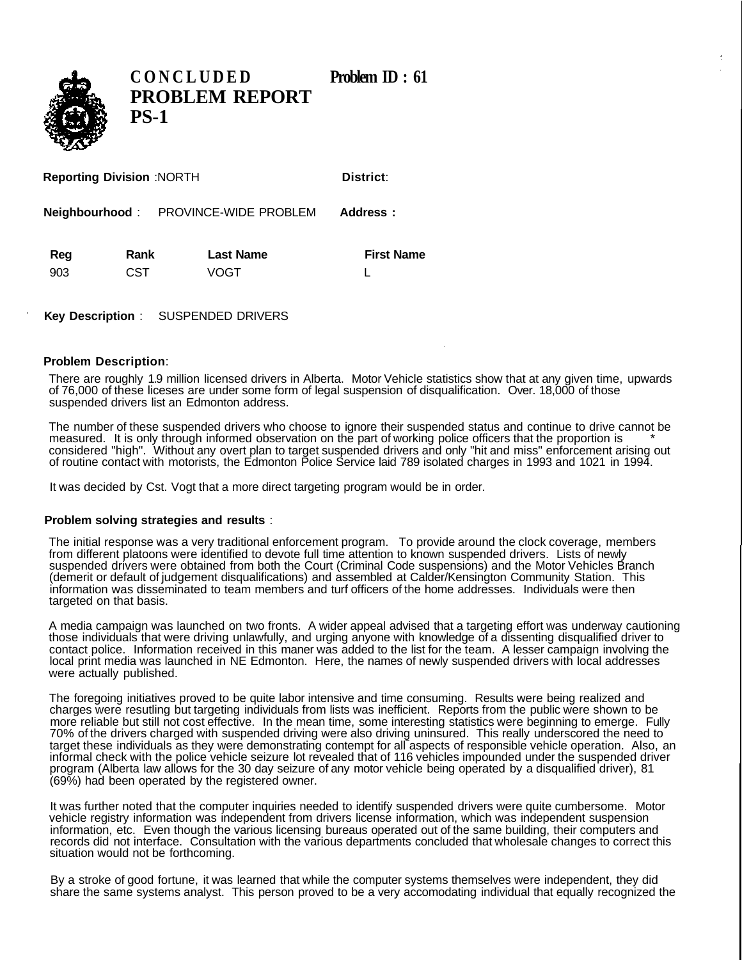**CONCLUDED** Problem **ID** : 61 **PROBLEM REPORT PS-1**

| <b>Reporting Division: NORTH</b> |      |                                             | District:         |  |
|----------------------------------|------|---------------------------------------------|-------------------|--|
|                                  |      | <b>Neighbourhood:</b> PROVINCE-WIDE PROBLEM | Address:          |  |
| Reg                              | Rank | <b>Last Name</b>                            | <b>First Name</b> |  |
| 903                              | CST  | VOGT                                        |                   |  |

**Key Description** : SUSPENDED DRIVERS

## **Problem Description**:

There are roughly 1.9 million licensed drivers in Alberta. Motor Vehicle statistics show that at any given time, upwards of 76,000 of these liceses are under some form of legal suspension of disqualification. Over. 18,000 of those suspended drivers list an Edmonton address.

The number of these suspended drivers who choose to ignore their suspended status and continue to drive cannot be measured. It is only through informed observation on the part of working police officers that the proportion is \* considered "high". Without any overt plan to target suspended drivers and only "hit and miss" enforcement arising out of routine contact with motorists, the Edmonton Police Service laid 789 isolated charges in 1993 and 1021 in 1994.

It was decided by Cst. Vogt that a more direct targeting program would be in order.

## **Problem solving strategies and results** :

The initial response was a very traditional enforcement program. To provide around the clock coverage, members from different platoons were identified to devote full time attention to known suspended drivers. Lists of newly suspended drivers were obtained from both the Court (Criminal Code suspensions) and the Motor Vehicles Branch (demerit or default of judgement disqualifications) and assembled at Calder/Kensington Community Station. This information was disseminated to team members and turf officers of the home addresses. Individuals were then targeted on that basis.

A media campaign was launched on two fronts. A wider appeal advised that a targeting effort was underway cautioning those individuals that were driving unlawfully, and urging anyone with knowledge of a dissenting disqualified driver to contact police. Information received in this maner was added to the list for the team. A lesser campaign involving the local print media was launched in NE Edmonton. Here, the names of newly suspended drivers with local addresses were actually published.

The foregoing initiatives proved to be quite labor intensive and time consuming. Results were being realized and charges were resutling but targeting individuals from lists was inefficient. Reports from the public were shown to be more reliable but still not cost effective. In the mean time, some interesting statistics were beginning to emerge. Fully 70% of the drivers charged with suspended driving were also driving uninsured. This really underscored the need to target these individuals as they were demonstrating contempt for all aspects of responsible vehicle operation. Also, an informal check with the police vehicle seizure lot revealed that of 116 vehicles impounded under the suspended driver program (Alberta law allows for the 30 day seizure of any motor vehicle being operated by a disqualified driver), 81 (69%) had been operated by the registered owner.

It was further noted that the computer inquiries needed to identify suspended drivers were quite cumbersome. Motor vehicle registry information was independent from drivers license information, which was independent suspension information, etc. Even though the various licensing bureaus operated out of the same building, their computers and records did not interface. Consultation with the various departments concluded that wholesale changes to correct this situation would not be forthcoming.

By a stroke of good fortune, it was learned that while the computer systems themselves were independent, they did share the same systems analyst. This person proved to be a very accomodating individual that equally recognized the